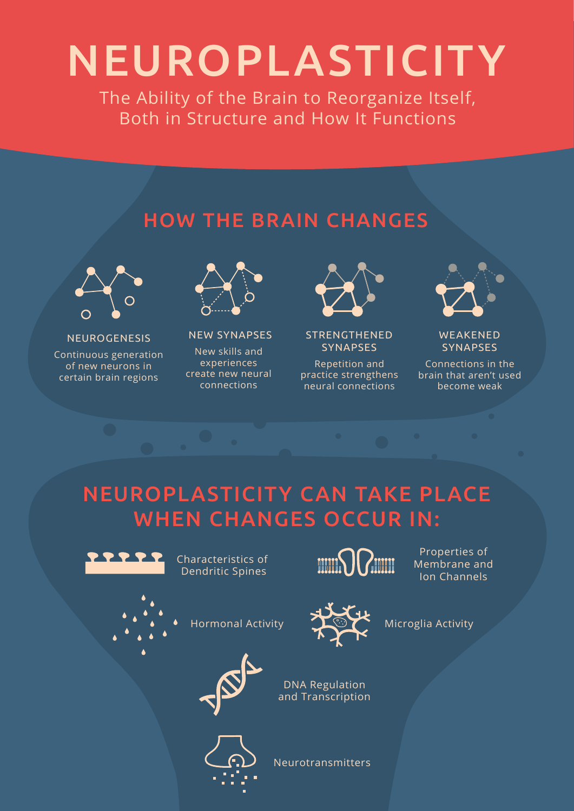# NEUROPLASTICITY

The Ability of the Brain to Reorganize Itself, Both in Structure and How It Functions

#### HOW THE BRAIN CHANGES



NEUROGENESIS

Continuous generation of new neurons in certain brain regions



NEW SYNAPSES New skills and experiences create new neural connections



STRENGTHENED **SYNAPSES** 

Repetition and practice strengthens neural connections



WEAKENED **SYNAPSES** 

Connections in the brain that aren't used become weak

#### NEUROPLASTICITY CAN TAKE PLACE WHEN CHANGES OCCUR IN:



Characteristics of Dendritic Spines



Properties of Membrane and Ion Channels

Microglia Activity



Hormonal Activity





Neurotransmitters